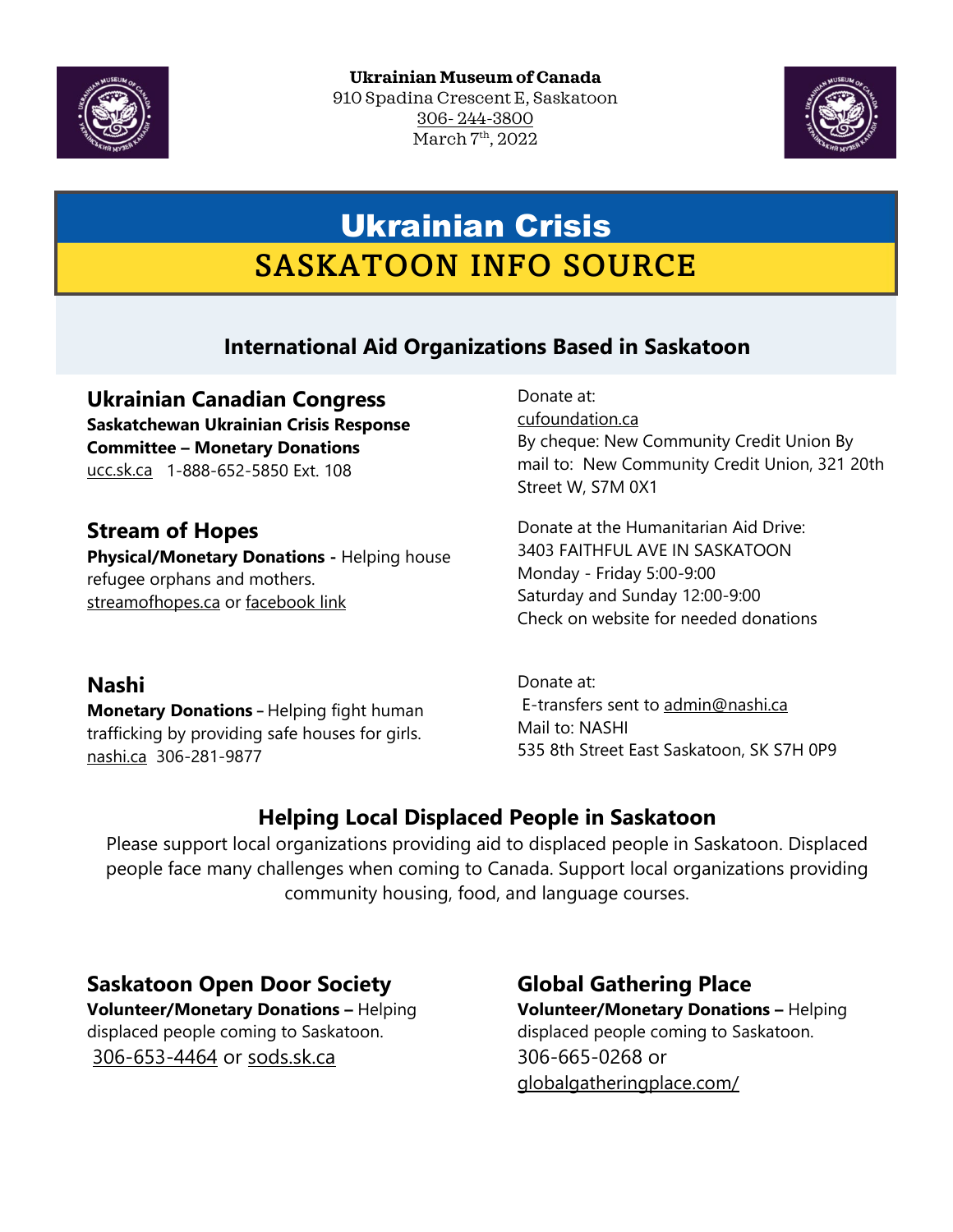



# Ukrainian Crisis SASKATOON INFO SOURCE

# **International Aid Organizations Based in Saskatoon**

**Ukrainian Canadian Congress Saskatchewan Ukrainian Crisis Response Committee – Monetary Donations** [ucc.sk.ca](https://ucc.sk.ca/) 1-888-652-5850 Ext. 108

# **Stream of Hopes**

**Physical/Monetary Donations -** Helping house refugee orphans and mothers. [streamofhopes.ca](http://www.streamofhopes.ca/) or [facebook link](https://www.facebook.com/streamofhopesuaca/)

Donate at: [cufoundation.ca](http://www.cufoundation.ca/) By cheque: New Community Credit Union By mail to: New Community Credit Union, 321 20th Street W, S7M 0X1

Donate at the Humanitarian Aid Drive: 3403 FAITHFUL AVE IN SASKATOON Monday - Friday 5:00-9:00 Saturday and Sunday 12:00-9:00 Check on website for needed donations

### **Nashi**

**Monetary Donations –** Helping fight human trafficking by providing safe houses for girls. [nashi.ca](https://www.nashi.ca/index.htm) 306-281-9877

Donate at: E-transfers sent to [admin@nashi.ca](mailto:admin@nashi.ca) Mail to: NASHI 535 8th Street East Saskatoon, SK S7H 0P9

# **Helping Local Displaced People in Saskatoon**

Please support local organizations providing aid to displaced people in Saskatoon. Displaced people face many challenges when coming to Canada. Support local organizations providing community housing, food, and language courses.

### **Saskatoon Open Door Society**

**Volunteer/Monetary Donations –** Helping displaced people coming to Saskatoon. [306-653-4464](tel:3066534464) or [sods.sk.ca](https://www.sods.sk.ca/)

# **Global Gathering Place**

**Volunteer/Monetary Donations –** Helping displaced people coming to Saskatoon. 306-665-0268 or [globalgatheringplace.com/](https://globalgatheringplace.com/)